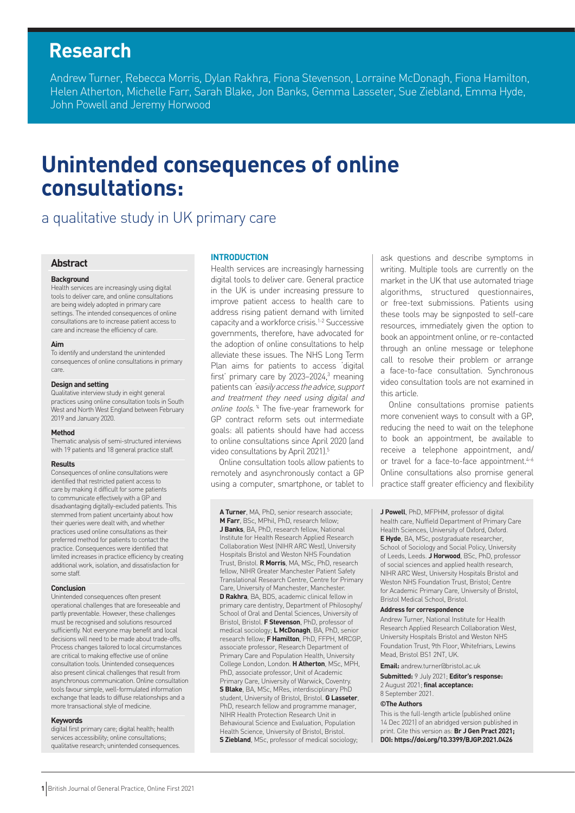# **Research**

Andrew Turner, Rebecca Morris, Dylan Rakhra, Fiona Stevenson, Lorraine McDonagh, Fiona Hamilton, Helen Atherton, Michelle Farr, Sarah Blake, Jon Banks, Gemma Lasseter, Sue Ziebland, Emma Hyde, John Powell and Jeremy Horwood

# **Unintended consequences of online consultations:**

# a qualitative study in UK primary care

#### **Abstract**

#### **Background**

Health services are increasingly using digital tools to deliver care, and online consultations are being widely adopted in primary care settings. The intended consequences of online consultations are to increase patient access to care and increase the efficiency of care.

#### **Aim**

To identify and understand the unintended consequences of online consultations in primary care.

#### **Design and setting**

Qualitative interview study in eight general practices using online consultation tools in South West and North West England between February 2019 and January 2020.

#### **Method**

Thematic analysis of semi-structured interviews with 19 patients and 18 general practice staff.

#### **Results**

Consequences of online consultations were identified that restricted patient access to care by making it difficult for some patients to communicate effectively with a GP and disadvantaging digitally-excluded patients. This stemmed from patient uncertainty about how their queries were dealt with, and whether practices used online consultations as their preferred method for patients to contact the practice. Consequences were identified that limited increases in practice efficiency by creating additional work, isolation, and dissatisfaction for some staff.

#### **Conclusion**

Unintended consequences often present operational challenges that are foreseeable and partly preventable. However, these challenges must be recognised and solutions resourced sufficiently. Not everyone may benefit and local decisions will need to be made about trade-offs. Process changes tailored to local circumstances are critical to making effective use of online consultation tools. Unintended consequences also present clinical challenges that result from asynchronous communication. Online consultation tools favour simple, well-formulated information exchange that leads to diffuse relationships and a more transactional style of medicine.

#### **Keywords**

digital first primary care; digital health; health services accessibility; online consultations; qualitative research; unintended consequences.

#### **INTRODUCTION**

Health services are increasingly harnessing digital tools to deliver care. General practice in the UK is under increasing pressure to improve patient access to health care to address rising patient demand with limited capacity and a workforce crisis.1-2 Successive governments, therefore, have advocated for the adoption of online consultations to help alleviate these issues. The NHS Long Term Plan aims for patients to access 'digital first' primary care by 2023-2024,<sup>3</sup> meaning patients can 'easily access the advice, support and treatment they need using digital and online tools.<sup>4</sup> The five-year framework for GP contract reform sets out intermediate goals: all patients should have had access to online consultations since April 2020 (and video consultations by April 2021).<sup>5</sup>

Online consultation tools allow patients to remotely and asynchronously contact a GP using a computer, smartphone, or tablet to

**A Turner**, MA, PhD, senior research associate; **M Farr**, BSc, MPhil, PhD, research fellow; **J Banks**, BA, PhD, research fellow, National Institute for Health Research Applied Research Collaboration West (NIHR ARC West), University Hospitals Bristol and Weston NHS Foundation Trust, Bristol. **R Morris**, MA, MSc, PhD, research fellow, NIHR Greater Manchester Patient Safety Translational Research Centre, Centre for Primary Care, University of Manchester, Manchester. **D Rakhra**, BA, BDS, academic clinical fellow in primary care dentistry, Department of Philosophy/ School of Oral and Dental Sciences, University of Bristol, Bristol. **F Stevenson**, PhD, professor of medical sociology; **L McDonagh**, BA, PhD, senior research fellow; **F Hamilton**, PhD, FFPH, MRCGP, associate professor, Research Department of Primary Care and Population Health, University College London, London. **H Atherton**, MSc, MPH, PhD, associate professor, Unit of Academic Primary Care, University of Warwick, Coventry. **S Blake**, BA, MSc, MRes, interdisciplinary PhD student, University of Bristol, Bristol. **G Lasseter**, PhD, research fellow and programme manager, NIHR Health Protection Research Unit in Behavioural Science and Evaluation, Population Health Science, University of Bristol, Bristol. **S Ziebland**, MSc, professor of medical sociology;

ask questions and describe symptoms in writing. Multiple tools are currently on the market in the UK that use automated triage algorithms, structured questionnaires, or free-text submissions. Patients using these tools may be signposted to self-care resources, immediately given the option to book an appointment online, or re-contacted through an online message or telephone call to resolve their problem or arrange a face-to-face consultation. Synchronous video consultation tools are not examined in this article.

Online consultations promise patients more convenient ways to consult with a GP, reducing the need to wait on the telephone to book an appointment, be available to receive a telephone appointment, and/ or travel for a face-to-face appointment.<sup>4-6</sup> Online consultations also promise general practice staff greater efficiency and flexibility

**J Powell**, PhD, MFPHM, professor of digital health care, Nuffield Department of Primary Care Health Sciences, University of Oxford, Oxford. **E Hyde**, BA, MSc, postgraduate researcher, School of Sociology and Social Policy, University of Leeds, Leeds. **J Horwood**, BSc, PhD, professor of social sciences and applied health research, NIHR ARC West, University Hospitals Bristol and Weston NHS Foundation Trust, Bristol; Centre for Academic Primary Care, University of Bristol, Bristol Medical School, Bristol.

#### **Address for correspondence**

Andrew Turner, National Institute for Health Research Applied Research Collaboration West, University Hospitals Bristol and Weston NHS Foundation Trust, 9th Floor, Whitefriars, Lewins Mead, Bristol BS1 2NT, UK.

**Email:** andrew.turner@bristol.ac.uk

**Submitted:** 9 July 2021; **Editor's response:** 2 August 2021; **final acceptance:**  8 September 2021.

#### **©The Authors**

This is the full-length article (published online 14 Dec 2021) of an abridged version published in print. Cite this version as: **Br J Gen Pract 2021; DOI: https://doi.org/10.3399/BJGP.2021.0426**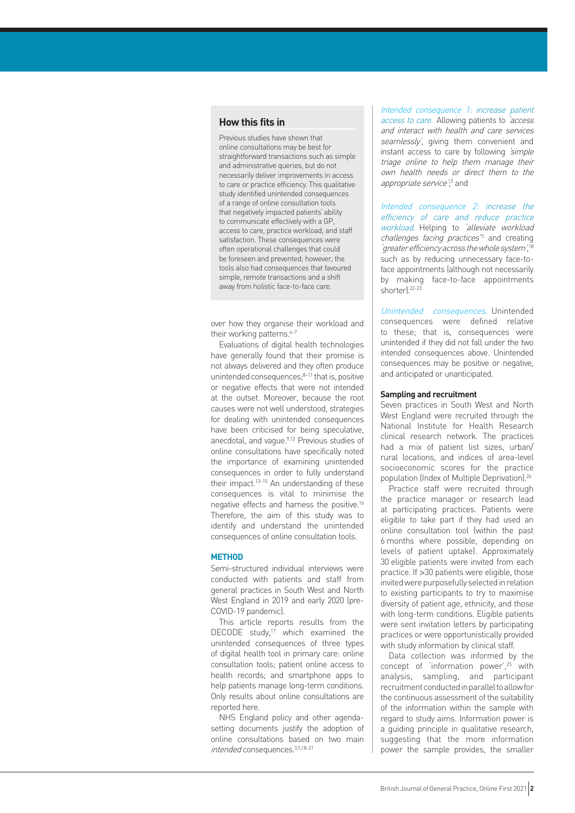# **How this fits in**

Previous studies have shown that online consultations may be best for straightforward transactions such as simple and administrative queries, but do not necessarily deliver improvements in access to care or practice efficiency. This qualitative study identified unintended consequences of a range of online consultation tools that negatively impacted patients' ability to communicate effectively with a GP, access to care, practice workload, and staff satisfaction. These consequences were often operational challenges that could be foreseen and prevented; however, the tools also had consequences that favoured simple, remote transactions and a shift away from holistic face-to-face care.

over how they organise their workload and their working patterns.<sup>4-7</sup>

Evaluations of digital health technologies have generally found that their promise is not always delivered and they often produce unintended consequences:<sup>8-11</sup> that is, positive or negative effects that were not intended at the outset. Moreover, because the root causes were not well understood, strategies for dealing with unintended consequences have been criticised for being speculative, anecdotal, and vague.9,12 Previous studies of online consultations have specifically noted the importance of examining unintended consequences in order to fully understand their impact.13–15 An understanding of these consequences is vital to minimise the negative effects and harness the positive.16 Therefore, the aim of this study was to identify and understand the unintended consequences of online consultation tools.

#### **METHOD**

Semi-structured individual interviews were conducted with patients and staff from general practices in South West and North West England in 2019 and early 2020 (pre-COVID-19 pandemic).

This article reports results from the DECODE study,<sup>17</sup> which examined the unintended consequences of three types of digital health tool in primary care: online consultation tools; patient online access to health records; and smartphone apps to help patients manage long-term conditions. Only results about online consultations are reported here.

NHS England policy and other agendasetting documents justify the adoption of online consultations based on two main intended consequences.3,5,18–21

Intended consequence 1: increase patient access to care. Allowing patients to 'access and interact with health and care services seamlessly', giving them convenient and instant access to care by following *simple* triage online to help them manage their own health needs or direct them to the appropriate service';<sup>3</sup> and

Intended consequence 2: increase the efficiency of care and reduce practice workload. Helping to 'alleviate workload challenges facing practices<sup>'5</sup> and creating 'greater efficiency across the whole system', 18 such as by reducing unnecessary face-toface appointments (although not necessarily by making face-to-face appointments shorter).22-23

Unintended consequences. Unintended consequences were defined relative to these; that is, consequences were unintended if they did not fall under the two intended consequences above. Unintended consequences may be positive or negative, and anticipated or unanticipated.

### **Sampling and recruitment**

Seven practices in South West and North West England were recruited through the National Institute for Health Research clinical research network. The practices had a mix of patient list sizes, urban/ rural locations, and indices of area-level socioeconomic scores for the practice population (Index of Multiple Deprivation).<sup>24</sup>

Practice staff were recruited through the practice manager or research lead at participating practices. Patients were eligible to take part if they had used an online consultation tool (within the past 6 months where possible, depending on levels of patient uptake). Approximately 30 eligible patients were invited from each practice. If >30 patients were eligible, those invited were purposefully selected in relation to existing participants to try to maximise diversity of patient age, ethnicity, and those with long-term conditions. Eligible patients were sent invitation letters by participating practices or were opportunistically provided with study information by clinical staff.

Data collection was informed by the concept of 'information power', $25$  with analysis, sampling, and participant recruitment conducted in parallel to allow for the continuous assessment of the suitability of the information within the sample with regard to study aims. Information power is a guiding principle in qualitative research, suggesting that the more information power the sample provides, the smaller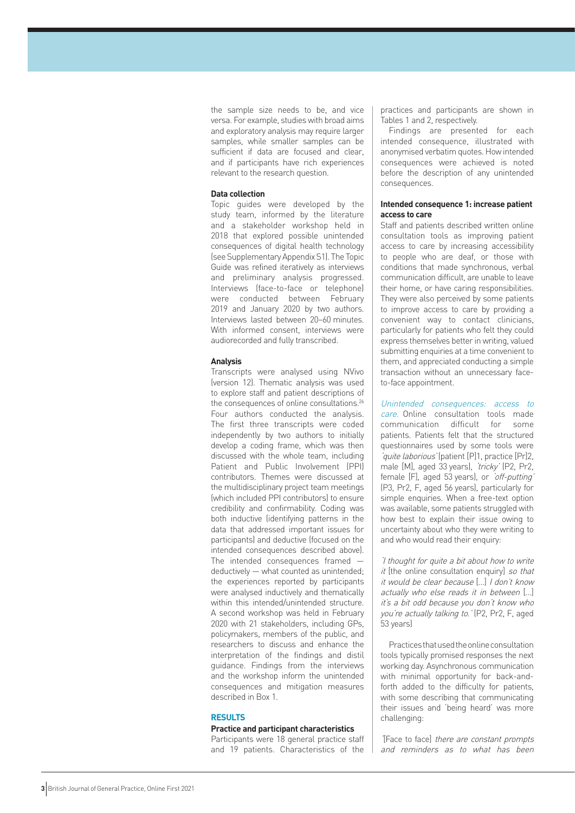the sample size needs to be, and vice versa. For example, studies with broad aims and exploratory analysis may require larger samples, while smaller samples can be sufficient if data are focused and clear, and if participants have rich experiences relevant to the research question.

#### **Data collection**

Topic guides were developed by the study team, informed by the literature and a stakeholder workshop held in 2018 that explored possible unintended consequences of digital health technology (see Supplementary Appendix S1). The Topic Guide was refined iteratively as interviews and preliminary analysis progressed. Interviews (face-to-face or telephone) were conducted between February 2019 and January 2020 by two authors. Interviews lasted between 20–60 minutes. With informed consent, interviews were audiorecorded and fully transcribed.

#### **Analysis**

Transcripts were analysed using NVivo (version 12). Thematic analysis was used to explore staff and patient descriptions of the consequences of online consultations.<sup>26</sup> Four authors conducted the analysis. The first three transcripts were coded independently by two authors to initially develop a coding frame, which was then discussed with the whole team, including Patient and Public Involvement (PPI) contributors. Themes were discussed at the multidisciplinary project team meetings (which included PPI contributors) to ensure credibility and confirmability. Coding was both inductive (identifying patterns in the data that addressed important issues for participants) and deductive (focused on the intended consequences described above). The intended consequences framed deductively — what counted as unintended; the experiences reported by participants were analysed inductively and thematically within this intended/unintended structure. A second workshop was held in February 2020 with 21 stakeholders, including GPs, policymakers, members of the public, and researchers to discuss and enhance the interpretation of the findings and distil guidance. Findings from the interviews and the workshop inform the unintended consequences and mitigation measures described in Box 1.

#### **RESULTS**

#### **Practice and participant characteristics**

Participants were 18 general practice staff and 19 patients. Characteristics of the practices and participants are shown in Tables 1 and 2, respectively.

Findings are presented for each intended consequence, illustrated with anonymised verbatim quotes. How intended consequences were achieved is noted before the description of any unintended consequences.

#### **Intended consequence 1: increase patient access to care**

Staff and patients described written online consultation tools as improving patient access to care by increasing accessibility to people who are deaf, or those with conditions that made synchronous, verbal communication difficult, are unable to leave their home, or have caring responsibilities. They were also perceived by some patients to improve access to care by providing a convenient way to contact clinicians, particularly for patients who felt they could express themselves better in writing, valued submitting enquiries at a time convenient to them, and appreciated conducting a simple transaction without an unnecessary faceto-face appointment.

Unintended consequences: access to care. Online consultation tools made communication difficult for some patients. Patients felt that the structured questionnaires used by some tools were 'quite laborious' (patient [P]1, practice [Pr]2, male [M], aged 33 years), 'tricky' (P2, Pr2, female [F], aged 53 years), or 'off-putting' (P3, Pr2, F, aged 56 years), particularly for simple enquiries. When a free-text option was available, some patients struggled with how best to explain their issue owing to uncertainty about who they were writing to and who would read their enquiry:

'I thought for quite a bit about how to write  $it$  [the online consultation enquiry] so that it would be clear because […] I don't know actually who else reads it in between […] it's a bit odd because you don't know who you're actually talking to.' (P2, Pr2, F, aged 53 years)

Practices that used the online consultation tools typically promised responses the next working day. Asynchronous communication with minimal opportunity for back-andforth added to the difficulty for patients, with some describing that communicating their issues and 'being heard' was more challenging:

'[Face to face] there are constant prompts and reminders as to what has been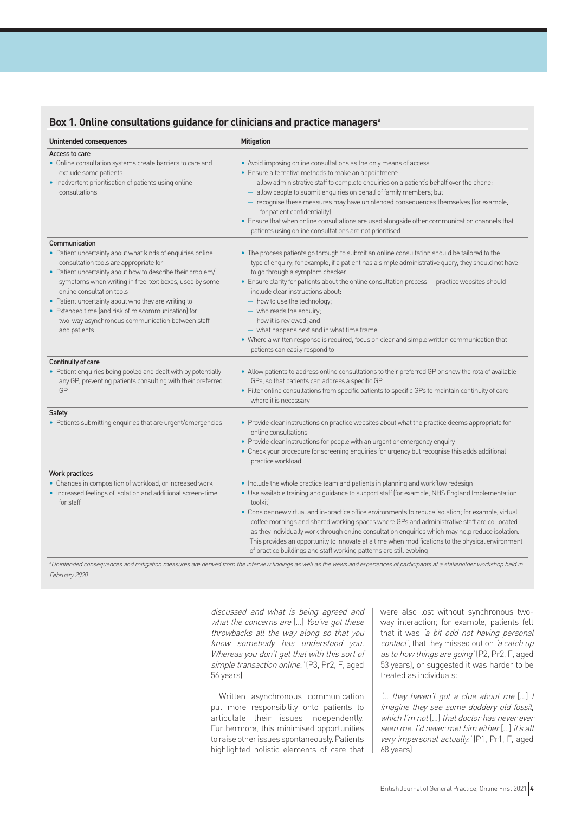|  | Box 1. Online consultations guidance for clinicians and practice managers <sup>a</sup> |  |  |  |
|--|----------------------------------------------------------------------------------------|--|--|--|
|--|----------------------------------------------------------------------------------------|--|--|--|

| <b>Unintended consequences</b>                                                                                                                                                                                                                                                                                                                                                                                                                              | <b>Mitigation</b>                                                                                                                                                                                                                                                                                                                                                                                                                                                                                                                                                                                                                                                                      |
|-------------------------------------------------------------------------------------------------------------------------------------------------------------------------------------------------------------------------------------------------------------------------------------------------------------------------------------------------------------------------------------------------------------------------------------------------------------|----------------------------------------------------------------------------------------------------------------------------------------------------------------------------------------------------------------------------------------------------------------------------------------------------------------------------------------------------------------------------------------------------------------------------------------------------------------------------------------------------------------------------------------------------------------------------------------------------------------------------------------------------------------------------------------|
| Access to care<br>• Online consultation systems create barriers to care and<br>exclude some patients<br>• Inadvertent prioritisation of patients using online<br>consultations                                                                                                                                                                                                                                                                              | • Avoid imposing online consultations as the only means of access<br>• Ensure alternative methods to make an appointment:<br>- allow administrative staff to complete enquiries on a patient's behalf over the phone;<br>allow people to submit enquiries on behalf of family members; but<br>- recognise these measures may have unintended consequences themselves (for example,<br>$-$ for patient confidentiality)<br>• Ensure that when online consultations are used alongside other communication channels that<br>patients using online consultations are not prioritised                                                                                                      |
| Communication<br>• Patient uncertainty about what kinds of enquiries online<br>consultation tools are appropriate for<br>• Patient uncertainty about how to describe their problem/<br>symptoms when writing in free-text boxes, used by some<br>online consultation tools<br>• Patient uncertainty about who they are writing to<br>• Extended time (and risk of miscommunication) for<br>two-way asynchronous communication between staff<br>and patients | • The process patients go through to submit an online consultation should be tailored to the<br>type of enquiry; for example, if a patient has a simple administrative query, they should not have<br>to go through a symptom checker<br>• Ensure clarity for patients about the online consultation process - practice websites should<br>include clear instructions about:<br>- how to use the technology;<br>- who reads the enquiry;<br>- how it is reviewed; and<br>- what happens next and in what time frame<br>• Where a written response is required, focus on clear and simple written communication that<br>patients can easily respond to                                  |
| Continuity of care<br>• Patient enquiries being pooled and dealt with by potentially<br>any GP, preventing patients consulting with their preferred<br>GP                                                                                                                                                                                                                                                                                                   | • Allow patients to address online consultations to their preferred GP or show the rota of available<br>GPs, so that patients can address a specific GP<br>• Filter online consultations from specific patients to specific GPs to maintain continuity of care<br>where it is necessary                                                                                                                                                                                                                                                                                                                                                                                                |
| Safety<br>• Patients submitting enquiries that are urgent/emergencies                                                                                                                                                                                                                                                                                                                                                                                       | • Provide clear instructions on practice websites about what the practice deems appropriate for<br>online consultations<br>• Provide clear instructions for people with an urgent or emergency enquiry<br>• Check your procedure for screening enquiries for urgency but recognise this adds additional<br>practice workload                                                                                                                                                                                                                                                                                                                                                           |
| Work practices<br>• Changes in composition of workload, or increased work<br>• Increased feelings of isolation and additional screen-time<br>for staff                                                                                                                                                                                                                                                                                                      | • Include the whole practice team and patients in planning and workflow redesign<br>• Use available training and guidance to support staff (for example, NHS England Implementation<br>toolkitl<br>• Consider new virtual and in-practice office environments to reduce isolation; for example, virtual<br>coffee mornings and shared working spaces where GPs and administrative staff are co-located<br>as they individually work through online consultation enquiries which may help reduce isolation.<br>This provides an opportunity to innovate at a time when modifications to the physical environment<br>of practice buildings and staff working patterns are still evolving |

aUnintended consequences and mitigation measures are derived from the interview findings as well as the views and experiences of participants at a stakeholder workshop held in February 2020.

> discussed and what is being agreed and what the concerns are [...] You've got these throwbacks all the way along so that you know somebody has understood you. Whereas you don't get that with this sort of simple transaction online.' (P3, Pr2, F, aged 56 years)

> Written asynchronous communication put more responsibility onto patients to articulate their issues independently. Furthermore, this minimised opportunities to raise other issues spontaneously. Patients highlighted holistic elements of care that

were also lost without synchronous twoway interaction; for example, patients felt that it was 'a bit odd not having personal contact', that they missed out on 'a catch up as to how things are going' (P2, Pr2, F, aged 53 years), or suggested it was harder to be treated as individuals:

 $\therefore$  they haven't got a clue about me [...] I imagine they see some doddery old fossil, which I'm not […] that doctor has never ever seen me. I'd never met him either […] it's all very impersonal actually.' (P1, Pr1, F, aged 68 years)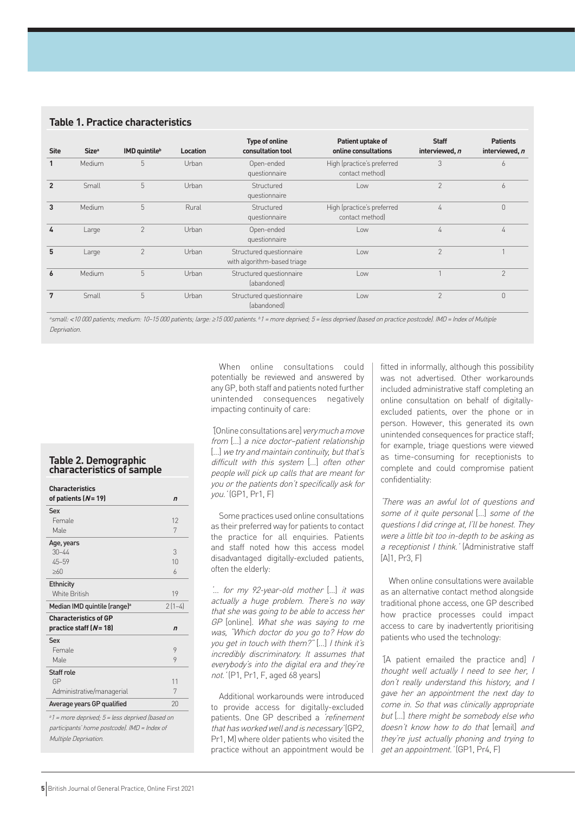|                |                   |                           |                 | <b>Type of online</b>                                   | Patient uptake of                             | <b>Staff</b>   | <b>Patients</b> |
|----------------|-------------------|---------------------------|-----------------|---------------------------------------------------------|-----------------------------------------------|----------------|-----------------|
| <b>Site</b>    | Size <sup>a</sup> | IMD quintile <sup>b</sup> | <b>Location</b> | consultation tool                                       | online consultations                          | interviewed, n | interviewed, n  |
| $\mathbf{1}$   | Medium            | 5                         | Urban           | Open-ended<br>questionnaire                             | High (practice's preferred<br>contact method  | 3              | 6               |
| $\overline{2}$ | Small             | 5                         | Urban           | Structured<br>questionnaire                             | $\sim$                                        | $\overline{2}$ | 6               |
| 3              | Medium            | 5                         | Rural           | Structured<br>questionnaire                             | High (practice's preferred<br>contact method) | 4              | $\overline{0}$  |
| 4              | Large             | $\overline{2}$            | Urban           | Open-ended<br>questionnaire                             | Low                                           | 4              | 4               |
| 5              | Large             | $\overline{2}$            | Urban           | Structured questionnaire<br>with algorithm-based triage | Low                                           | $\mathcal{P}$  |                 |
| 6              | Medium            | 5                         | Urban           | Structured questionnaire<br><i>(abandoned)</i>          | Low                                           |                | $\overline{2}$  |
| 7              | Small             | 5                         | Urban           | Structured questionnaire<br><i>(abandoned)</i>          | Low                                           | $\mathcal{P}$  | $\theta$        |

®small: <10 000 patients; medium: 10-15 000 patients; large: ≥15 000 patients. b1 = more deprived; 5 = less deprived (based on practice postcode). IMD = Index of Multiple Deprivation.

#### **Table 2. Demographic characteristics of sample**

| <b>Characteristics</b><br>of patients $(N=19)$ | $\mathbf n$    |
|------------------------------------------------|----------------|
| Sex                                            |                |
| Female                                         | 12             |
| Male                                           | 7              |
| Age, years                                     |                |
| $30 - 44$                                      | 3              |
| $45 - 59$                                      | 10             |
| >60                                            | $\overline{a}$ |
| <b>Ethnicity</b>                               |                |
| <b>White British</b>                           | 19             |
| Median IMD quintile (range) <sup>a</sup>       | $2(1-4)$       |
| <b>Characteristics of GP</b>                   |                |
| practice staff $(N=18)$                        | $\mathbf n$    |
| Sex                                            |                |
|                                                |                |
| Female                                         | 9              |
| Male                                           | 9              |
| Staff role                                     |                |
| GP                                             | 11             |
| Administrative/managerial                      | 7              |
| Average years GP qualified                     | 20             |

participants' home postcode). IMD = Index of Multiple Deprivation.

When online consultations could potentially be reviewed and answered by any GP, both staff and patients noted further unintended consequences negatively impacting continuity of care:

'[Online consultations are] very much a move from […] a nice doctor–patient relationship [...] we try and maintain continuity, but that's difficult with this system […] often other people will pick up calls that are meant for you or the patients don't specifically ask for you.' (GP1, Pr1, F)

Some practices used online consultations as their preferred way for patients to contact the practice for all enquiries. Patients and staff noted how this access model disadvantaged digitally-excluded patients, often the elderly:

'… for my 92-year-old mother […] it was actually a huge problem. There's no way that she was going to be able to access her GP [online]. What she was saying to me was, "Which doctor do you go to? How do you get in touch with them?" [...] I think it's incredibly discriminatory. It assumes that everybody's into the digital era and they're not.' (P1, Pr1, F, aged 68 years)

Additional workarounds were introduced to provide access for digitally-excluded patients. One GP described a 'refinement' that has worked well and is necessary' (GP2, Pr1, M) where older patients who visited the practice without an appointment would be

fitted in informally, although this possibility was not advertised. Other workarounds included administrative staff completing an online consultation on behalf of digitallyexcluded patients, over the phone or in person. However, this generated its own unintended consequences for practice staff; for example, triage questions were viewed as time-consuming for receptionists to complete and could compromise patient confidentiality:

'There was an awful lot of questions and some of it quite personal […] some of the questions I did cringe at, I'll be honest. They were a little bit too in-depth to be asking as a receptionist I think.' (Administrative staff  $[A]1$ , Pr3, F)

When online consultations were available as an alternative contact method alongside traditional phone access, one GP described how practice processes could impact access to care by inadvertently prioritising patients who used the technology:

'[A patient emailed the practice and] I thought well actually I need to see her, I don't really understand this history, and I gave her an appointment the next day to come in. So that was clinically appropriate but […] there might be somebody else who doesn't know how to do that [email] and they're just actually phoning and trying to get an appointment.' (GP1, Pr4, F)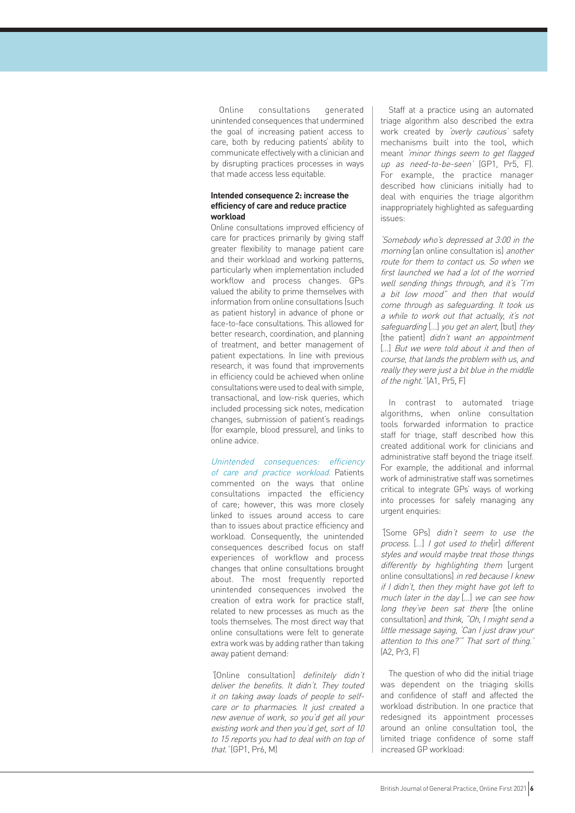Online consultations generated unintended consequences that undermined the goal of increasing patient access to care, both by reducing patients' ability to communicate effectively with a clinician and by disrupting practices processes in ways that made access less equitable.

#### **Intended consequence 2: increase the efficiency of care and reduce practice workload**

Online consultations improved efficiency of care for practices primarily by giving staff greater flexibility to manage patient care and their workload and working patterns, particularly when implementation included workflow and process changes. GPs valued the ability to prime themselves with information from online consultations (such as patient history) in advance of phone or face-to-face consultations. This allowed for better research, coordination, and planning of treatment, and better management of patient expectations. In line with previous research, it was found that improvements in efficiency could be achieved when online consultations were used to deal with simple, transactional, and low-risk queries, which included processing sick notes, medication changes, submission of patient's readings (for example, blood pressure), and links to online advice.

Unintended consequences: efficiency of care and practice workload. Patients commented on the ways that online consultations impacted the efficiency of care; however, this was more closely linked to issues around access to care than to issues about practice efficiency and workload. Consequently, the unintended consequences described focus on staff experiences of workflow and process changes that online consultations brought about. The most frequently reported unintended consequences involved the creation of extra work for practice staff, related to new processes as much as the tools themselves. The most direct way that online consultations were felt to generate extra work was by adding rather than taking away patient demand:

'[Online consultation] definitely didn't deliver the benefits. It didn't. They touted it on taking away loads of people to selfcare or to pharmacies. It just created a new avenue of work, so you'd get all your existing work and then you'd get, sort of 10 to 15 reports you had to deal with on top of that.' (GP1, Pr6, M)

Staff at a practice using an automated triage algorithm also described the extra work created by 'overly cautious' safety mechanisms built into the tool, which meant 'minor things seem to get flagged up as need-to-be-seen' (GP1, Pr5, F). For example, the practice manager described how clinicians initially had to deal with enquiries the triage algorithm inappropriately highlighted as safeguarding issues:

'Somebody who's depressed at 3:00 in the morning [an online consultation is] another route for them to contact us. So when we first launched we had a lot of the worried well sending things through, and it's "I'm a bit low mood" and then that would come through as safeguarding. It took us a while to work out that actually, it's not safeguarding [...] you get an alert, [but] they [the patient] didn't want an appointment [...] But we were told about it and then of course, that lands the problem with us, and really they were just a bit blue in the middle of the night.' (A1, Pr5, F)

In contrast to automated triage algorithms, when online consultation tools forwarded information to practice staff for triage, staff described how this created additional work for clinicians and administrative staff beyond the triage itself. For example, the additional and informal work of administrative staff was sometimes critical to integrate GPs' ways of working into processes for safely managing any urgent enquiries:

'[Some GPs] didn't seem to use the process. [...] I got used to the[ir] different styles and would maybe treat those things differently by highlighting them [urgent online consultations] in red because I knew if I didn't, then they might have got left to much later in the day […] we can see how long they've been sat there [the online consultation] and think, "Oh, I might send a little message saying, 'Can I just draw your attention to this one?'" That sort of thing.' (A2, Pr3, F)

The question of who did the initial triage was dependent on the triaging skills and confidence of staff and affected the workload distribution. In one practice that redesigned its appointment processes around an online consultation tool, the limited triage confidence of some staff increased GP workload: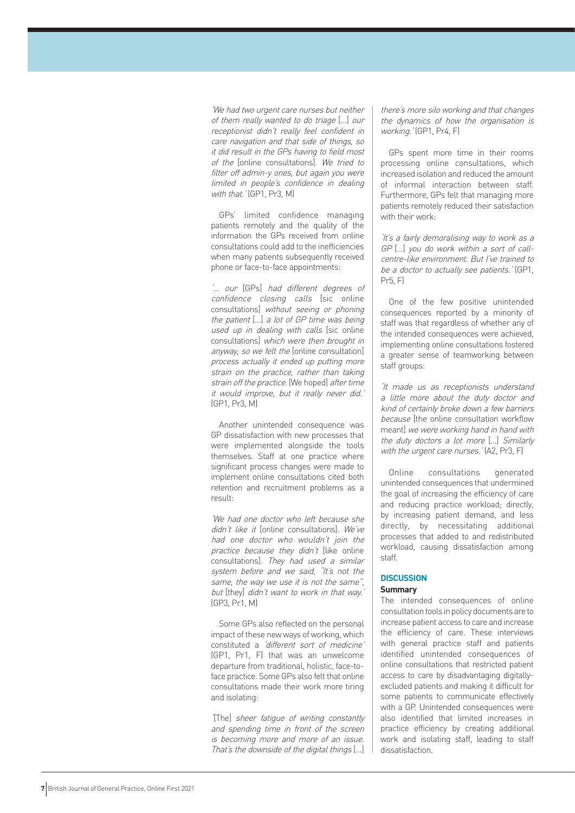'We had two urgent care nurses but neither of them really wanted to do triage […] our receptionist didn't really feel confident in care navigation and that side of things, so it did result in the GPs having to field most of the [online consultations]. We tried to filter off admin-y ones, but again you were limited in people's confidence in dealing with that.' (GP1, Pr3, M)

GPs' limited confidence managing patients remotely and the quality of the information the GPs received from online consultations could add to the inefficiencies when many patients subsequently received phone or face-to-face appointments:

'… our [GPs] had different degrees of confidence closing calls [sic online consultations] without seeing or phoning the patient […] a lot of GP time was being used up in dealing with calls [sic online consultations] which were then brought in anyway, so we felt the [online consultation] process actually it ended up putting more strain on the practice, rather than taking strain off the practice. [We hoped] after time it would improve, but it really never did.' (GP1, Pr3, M)

Another unintended consequence was GP dissatisfaction with new processes that were implemented alongside the tools themselves. Staff at one practice where significant process changes were made to implement online consultations cited both retention and recruitment problems as a result:

'We had one doctor who left because she didn't like it lonline consultations]. We've had one doctor who wouldn't join the practice because they didn't [like online consultations]. They had used a similar system before and we said, "It's not the same, the way we use it is not the same", but [they] didn't want to work in that way.' (GP3, Pr1, M)

Some GPs also reflected on the personal impact of these new ways of working, which constituted a 'different sort of medicine' (GP1, Pr1, F) that was an unwelcome departure from traditional, holistic, face-toface practice. Some GPs also felt that online consultations made their work more tiring and isolating:

'[The] sheer fatigue of writing constantly and spending time in front of the screen is becoming more and more of an issue. That's the downside of the digital things […]

there's more silo working and that changes the dynamics of how the organisation is working.' (GP1, Pr4, F)

GPs spent more time in their rooms processing online consultations, which increased isolation and reduced the amount of informal interaction between staff. Furthermore, GPs felt that managing more patients remotely reduced their satisfaction with their work:

'It's a fairly demoralising way to work as a GP [...] you do work within a sort of callcentre-like environment. But I've trained to be a doctor to actually see patients.' (GP1, Pr5, F)

One of the few positive unintended consequences reported by a minority of staff was that regardless of whether any of the intended consequences were achieved, implementing online consultations fostered a greater sense of teamworking between staff groups:

'It made us as receptionists understand a little more about the duty doctor and kind of certainly broke down a few barriers because [the online consultation workflow meant] we were working hand in hand with the duty doctors a lot more […] Similarly with the urgent care nurses.' (A2, Pr3, F)

Online consultations generated unintended consequences that undermined the goal of increasing the efficiency of care and reducing practice workload; directly, by increasing patient demand, and less directly, by necessitating additional processes that added to and redistributed workload, causing dissatisfaction among staff.

## **DISCUSSION**

#### **Summary**

The intended consequences of online consultation tools in policy documents are to increase patient access to care and increase the efficiency of care. These interviews with general practice staff and patients identified unintended consequences of online consultations that restricted patient access to care by disadvantaging digitallyexcluded patients and making it difficult for some patients to communicate effectively with a GP. Unintended consequences were also identified that limited increases in practice efficiency by creating additional work and isolating staff, leading to staff dissatisfaction.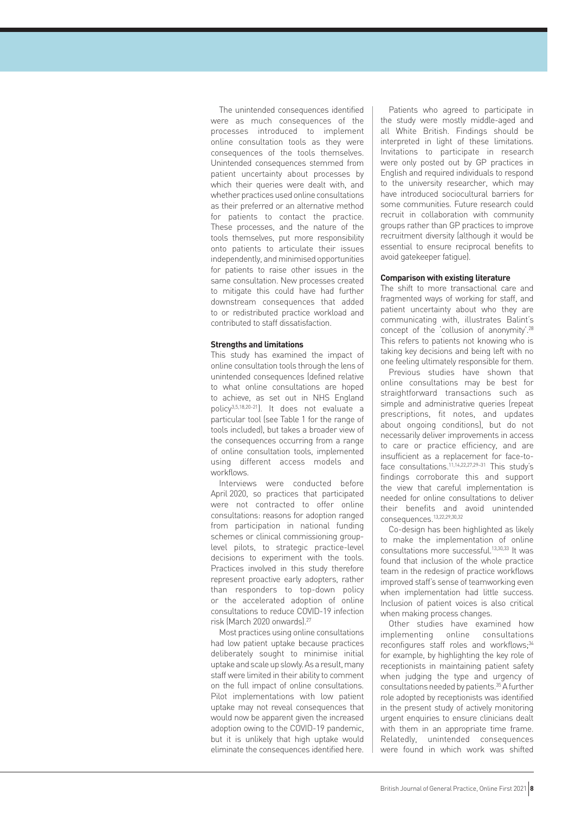The unintended consequences identified were as much consequences of the processes introduced to implement online consultation tools as they were consequences of the tools themselves. Unintended consequences stemmed from patient uncertainty about processes by which their queries were dealt with, and whether practices used online consultations as their preferred or an alternative method for patients to contact the practice. These processes, and the nature of the tools themselves, put more responsibility onto patients to articulate their issues independently, and minimised opportunities for patients to raise other issues in the same consultation. New processes created to mitigate this could have had further downstream consequences that added to or redistributed practice workload and contributed to staff dissatisfaction.

#### **Strengths and limitations**

This study has examined the impact of online consultation tools through the lens of unintended consequences (defined relative to what online consultations are hoped to achieve, as set out in NHS England policy3,5,18,20-21). It does not evaluate a particular tool (see Table 1 for the range of tools included), but takes a broader view of the consequences occurring from a range of online consultation tools, implemented using different access models and workflows.

Interviews were conducted before April 2020, so practices that participated were not contracted to offer online consultations: reasons for adoption ranged from participation in national funding schemes or clinical commissioning grouplevel pilots, to strategic practice-level decisions to experiment with the tools. Practices involved in this study therefore represent proactive early adopters, rather than responders to top-down policy or the accelerated adoption of online consultations to reduce COVID-19 infection risk (March 2020 onwards).27

Most practices using online consultations had low patient uptake because practices deliberately sought to minimise initial uptake and scale up slowly. As a result, many staff were limited in their ability to comment on the full impact of online consultations. Pilot implementations with low patient uptake may not reveal consequences that would now be apparent given the increased adoption owing to the COVID-19 pandemic, but it is unlikely that high uptake would eliminate the consequences identified here.

Patients who agreed to participate in the study were mostly middle-aged and all White British. Findings should be interpreted in light of these limitations. Invitations to participate in research were only posted out by GP practices in English and required individuals to respond to the university researcher, which may have introduced sociocultural barriers for some communities. Future research could recruit in collaboration with community groups rather than GP practices to improve recruitment diversity (although it would be essential to ensure reciprocal benefits to avoid gatekeeper fatigue).

#### **Comparison with existing literature**

The shift to more transactional care and fragmented ways of working for staff, and patient uncertainty about who they are communicating with, illustrates Balint's concept of the 'collusion of anonymity'.28 This refers to patients not knowing who is taking key decisions and being left with no one feeling ultimately responsible for them.

Previous studies have shown that online consultations may be best for straightforward transactions such as simple and administrative queries (repeat prescriptions, fit notes, and updates about ongoing conditions), but do not necessarily deliver improvements in access to care or practice efficiency, and are insufficient as a replacement for face-toface consultations.<sup>11,14,22,27,29-31</sup> This study's findings corroborate this and support the view that careful implementation is needed for online consultations to deliver their benefits and avoid unintended consequences.13,22,29,30,32

Co-design has been highlighted as likely to make the implementation of online consultations more successful.13,30,33 It was found that inclusion of the whole practice team in the redesign of practice workflows improved staff's sense of teamworking even when implementation had little success. Inclusion of patient voices is also critical when making process changes.

Other studies have examined how implementing online consultations reconfigures staff roles and workflows;<sup>34</sup> for example, by highlighting the key role of receptionists in maintaining patient safety when judging the type and urgency of consultations needed by patients.35 A further role adopted by receptionists was identified in the present study of actively monitoring urgent enquiries to ensure clinicians dealt with them in an appropriate time frame. Relatedly, unintended consequences were found in which work was shifted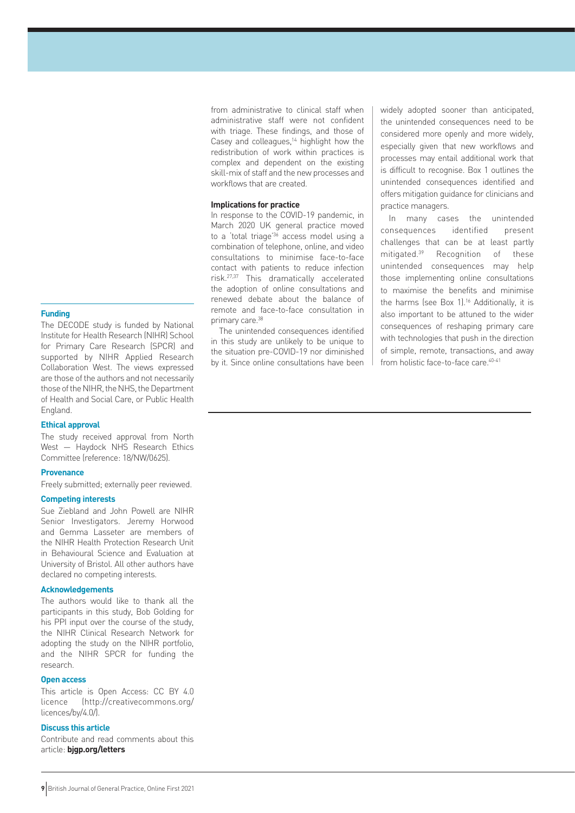#### **Funding**

The DECODE study is funded by National Institute for Health Research (NIHR) School for Primary Care Research (SPCR) and supported by NIHR Applied Research Collaboration West. The views expressed are those of the authors and not necessarily those of the NIHR, the NHS, the Department of Health and Social Care, or Public Health England.

#### **Ethical approval**

The study received approval from North West — Haydock NHS Research Ethics Committee (reference: 18/NW/0625).

#### **Provenance**

Freely submitted; externally peer reviewed.

#### **Competing interests**

Sue Ziebland and John Powell are NIHR Senior Investigators. Jeremy Horwood and Gemma Lasseter are members of the NIHR Health Protection Research Unit in Behavioural Science and Evaluation at University of Bristol. All other authors have declared no competing interests.

#### **Acknowledgements**

The authors would like to thank all the participants in this study, Bob Golding for his PPI input over the course of the study, the NIHR Clinical Research Network for adopting the study on the NIHR portfolio, and the NIHR SPCR for funding the research.

#### **Open access**

This article is Open Access: CC BY 4.0 licence (http://creativecommons.org/ licences/by/4.0/).

## **Discuss this article**

Contribute and read comments about this article: **bjgp.org/letters**

from administrative to clinical staff when administrative staff were not confident with triage. These findings, and those of Casey and colleagues,<sup>14</sup> highlight how the redistribution of work within practices is complex and dependent on the existing skill-mix of staff and the new processes and workflows that are created.

#### **Implications for practice**

In response to the COVID-19 pandemic, in March 2020 UK general practice moved to a 'total triage' $3\overline{6}$  access model using a combination of telephone, online, and video consultations to minimise face-to-face contact with patients to reduce infection risk.27,37 This dramatically accelerated the adoption of online consultations and renewed debate about the balance of remote and face-to-face consultation in primary care.<sup>38</sup>

The unintended consequences identified in this study are unlikely to be unique to the situation pre-COVID-19 nor diminished by it. Since online consultations have been widely adopted sooner than anticipated, the unintended consequences need to be considered more openly and more widely, especially given that new workflows and processes may entail additional work that is difficult to recognise. Box 1 outlines the unintended consequences identified and offers mitigation guidance for clinicians and practice managers.

In many cases the unintended consequences identified present challenges that can be at least partly mitigated.<sup>39</sup> Recognition of these unintended consequences may help those implementing online consultations to maximise the benefits and minimise the harms (see Box 1).<sup>16</sup> Additionally, it is also important to be attuned to the wider consequences of reshaping primary care with technologies that push in the direction of simple, remote, transactions, and away from holistic face-to-face care.<sup>40-41</sup>